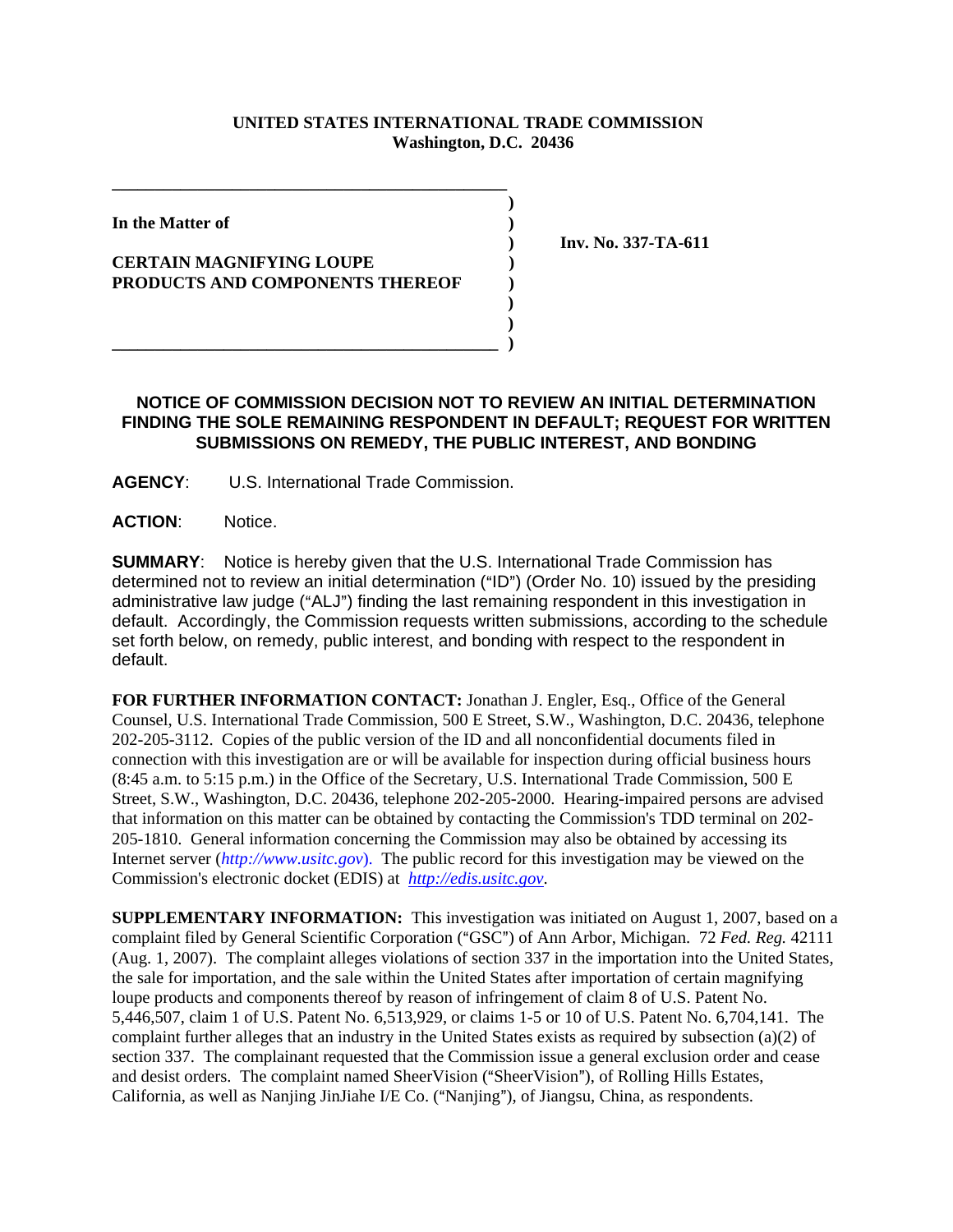## **UNITED STATES INTERNATIONAL TRADE COMMISSION Washington, D.C. 20436**

 **)** 

In the Matter of *In the Matter of* 

## **CERTAIN MAGNIFYING LOUPE ) PRODUCTS AND COMPONENTS THEREOF )**

**\_\_\_\_\_\_\_\_\_\_\_\_\_\_\_\_\_\_\_\_\_\_\_\_\_\_\_\_\_\_\_\_\_\_\_\_\_\_\_\_\_\_\_\_\_\_** 

 **) Inv. No. 337-TA-611** 

## **NOTICE OF COMMISSION DECISION NOT TO REVIEW AN INITIAL DETERMINATION FINDING THE SOLE REMAINING RESPONDENT IN DEFAULT; REQUEST FOR WRITTEN SUBMISSIONS ON REMEDY, THE PUBLIC INTEREST, AND BONDING**

 **) )** 

**AGENCY**: U.S. International Trade Commission.

**\_\_\_\_\_\_\_\_\_\_\_\_\_\_\_\_\_\_\_\_\_\_\_\_\_\_\_\_\_\_\_\_\_\_\_\_\_\_\_\_\_\_\_\_\_ )** 

**ACTION**: Notice.

**SUMMARY**: Notice is hereby given that the U.S. International Trade Commission has determined not to review an initial determination ("ID") (Order No. 10) issued by the presiding administrative law judge ("ALJ") finding the last remaining respondent in this investigation in default. Accordingly, the Commission requests written submissions, according to the schedule set forth below, on remedy, public interest, and bonding with respect to the respondent in default.

**FOR FURTHER INFORMATION CONTACT:** Jonathan J. Engler, Esq., Office of the General Counsel, U.S. International Trade Commission, 500 E Street, S.W., Washington, D.C. 20436, telephone 202-205-3112. Copies of the public version of the ID and all nonconfidential documents filed in connection with this investigation are or will be available for inspection during official business hours (8:45 a.m. to 5:15 p.m.) in the Office of the Secretary, U.S. International Trade Commission, 500 E Street, S.W., Washington, D.C. 20436, telephone 202-205-2000. Hearing-impaired persons are advised that information on this matter can be obtained by contacting the Commission's TDD terminal on 202- 205-1810. General information concerning the Commission may also be obtained by accessing its Internet server (*http://www.usitc.gov*). The public record for this investigation may be viewed on the Commission's electronic docket (EDIS) at *http://edis.usitc.gov*.

**SUPPLEMENTARY INFORMATION:** This investigation was initiated on August 1, 2007, based on a complaint filed by General Scientific Corporation ("GSC") of Ann Arbor, Michigan. 72 *Fed. Reg.* 42111 (Aug. 1, 2007). The complaint alleges violations of section 337 in the importation into the United States, the sale for importation, and the sale within the United States after importation of certain magnifying loupe products and components thereof by reason of infringement of claim 8 of U.S. Patent No. 5,446,507, claim 1 of U.S. Patent No. 6,513,929, or claims 1-5 or 10 of U.S. Patent No. 6,704,141. The complaint further alleges that an industry in the United States exists as required by subsection (a)(2) of section 337. The complainant requested that the Commission issue a general exclusion order and cease and desist orders. The complaint named SheerVision ("SheerVision"), of Rolling Hills Estates, California, as well as Nanjing JinJiahe I/E Co. ("Nanjing"), of Jiangsu, China, as respondents.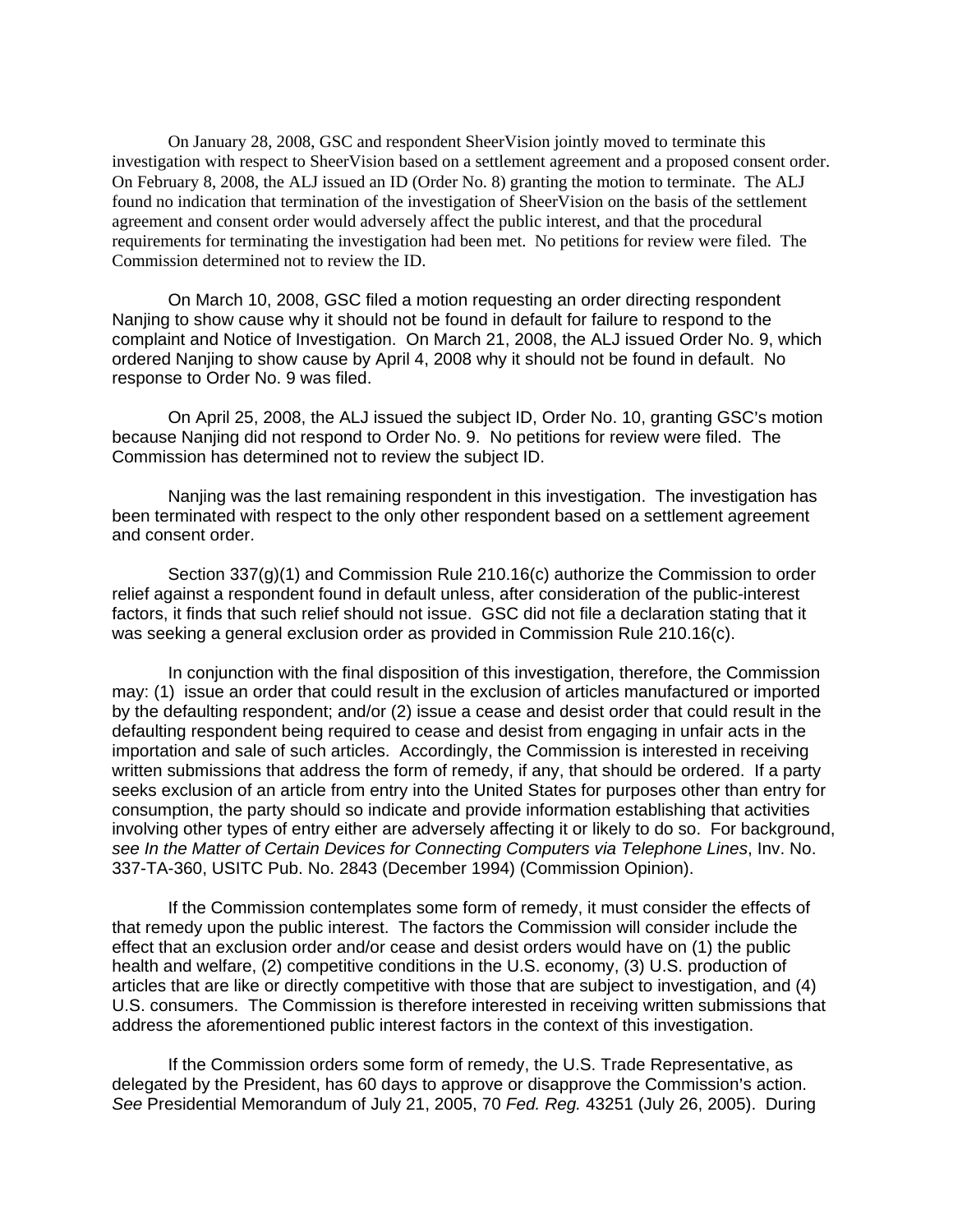On January 28, 2008, GSC and respondent SheerVision jointly moved to terminate this investigation with respect to SheerVision based on a settlement agreement and a proposed consent order. On February 8, 2008, the ALJ issued an ID (Order No. 8) granting the motion to terminate. The ALJ found no indication that termination of the investigation of SheerVision on the basis of the settlement agreement and consent order would adversely affect the public interest, and that the procedural requirements for terminating the investigation had been met. No petitions for review were filed. The Commission determined not to review the ID.

On March 10, 2008, GSC filed a motion requesting an order directing respondent Nanjing to show cause why it should not be found in default for failure to respond to the complaint and Notice of Investigation. On March 21, 2008, the ALJ issued Order No. 9, which ordered Nanjing to show cause by April 4, 2008 why it should not be found in default. No response to Order No. 9 was filed.

On April 25, 2008, the ALJ issued the subject ID, Order No. 10, granting GSC's motion because Nanjing did not respond to Order No. 9. No petitions for review were filed. The Commission has determined not to review the subject ID.

Nanjing was the last remaining respondent in this investigation. The investigation has been terminated with respect to the only other respondent based on a settlement agreement and consent order.

Section 337(g)(1) and Commission Rule 210.16(c) authorize the Commission to order relief against a respondent found in default unless, after consideration of the public-interest factors, it finds that such relief should not issue. GSC did not file a declaration stating that it was seeking a general exclusion order as provided in Commission Rule 210.16(c).

In conjunction with the final disposition of this investigation, therefore, the Commission may: (1) issue an order that could result in the exclusion of articles manufactured or imported by the defaulting respondent; and/or (2) issue a cease and desist order that could result in the defaulting respondent being required to cease and desist from engaging in unfair acts in the importation and sale of such articles. Accordingly, the Commission is interested in receiving written submissions that address the form of remedy, if any, that should be ordered. If a party seeks exclusion of an article from entry into the United States for purposes other than entry for consumption, the party should so indicate and provide information establishing that activities involving other types of entry either are adversely affecting it or likely to do so. For background, *see In the Matter of Certain Devices for Connecting Computers via Telephone Lines*, Inv. No. 337-TA-360, USITC Pub. No. 2843 (December 1994) (Commission Opinion).

If the Commission contemplates some form of remedy, it must consider the effects of that remedy upon the public interest. The factors the Commission will consider include the effect that an exclusion order and/or cease and desist orders would have on (1) the public health and welfare, (2) competitive conditions in the U.S. economy, (3) U.S. production of articles that are like or directly competitive with those that are subject to investigation, and (4) U.S. consumers. The Commission is therefore interested in receiving written submissions that address the aforementioned public interest factors in the context of this investigation.

If the Commission orders some form of remedy, the U.S. Trade Representative, as delegated by the President, has 60 days to approve or disapprove the Commission's action. *See* Presidential Memorandum of July 21, 2005, 70 *Fed. Reg.* 43251 (July 26, 2005). During